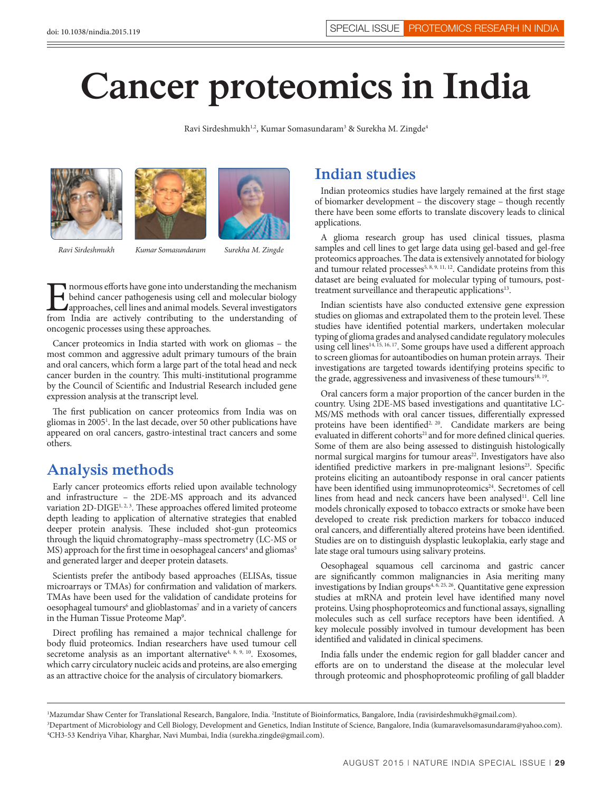# **Cancer proteomics in India**

Ravi Sirdeshmukh<sup>1,2</sup>, Kumar Somasundaram<sup>3</sup> & Surekha M. Zingde<sup>4</sup>







*Ravi Sirdeshmukh*

*Kumar Somasundaram Surekha M. Zingde*

Informous efforts have gone into understanding the mechanism<br>behind cancer pathogenesis using cell and molecular biology<br>approaches, cell lines and animal models. Several investigators<br>from India are actively contributing behind cancer pathogenesis using cell and molecular biology approaches, cell lines and animal models. Several investigators from India are actively contributing to the understanding of oncogenic processes using these approaches.

Cancer proteomics in India started with work on gliomas – the most common and aggressive adult primary tumours of the brain and oral cancers, which form a large part of the total head and neck cancer burden in the country. This multi-institutional programme by the Council of Scientific and Industrial Research included gene expression analysis at the transcript level.

The first publication on cancer proteomics from India was on gliomas in 2005<sup>1</sup>. In the last decade, over 50 other publications have appeared on oral cancers, gastro-intestinal tract cancers and some others.

## **Analysis methods**

Early cancer proteomics efforts relied upon available technology and infrastructure – the 2DE-MS approach and its advanced variation 2D-DIGE<sup>1, 2, 3</sup>. These approaches offered limited proteome depth leading to application of alternative strategies that enabled deeper protein analysis. These included shot-gun proteomics through the liquid chromatography–mass spectrometry (LC-MS or MS) approach for the first time in oesophageal cancers<sup>4</sup> and gliomas<sup>5</sup> and generated larger and deeper protein datasets.

Scientists prefer the antibody based approaches (ELISAs, tissue microarrays or TMAs) for confirmation and validation of markers. TMAs have been used for the validation of candidate proteins for oesophageal tumours<sup>6</sup> and glioblastomas<sup>7</sup> and in a variety of cancers in the Human Tissue Proteome Map<sup>9</sup>.

Direct profiling has remained a major technical challenge for body fluid proteomics. Indian researchers have used tumour cell secretome analysis as an important alternative<sup>4, 8, 9, 10</sup>. Exosomes, which carry circulatory nucleic acids and proteins, are also emerging as an attractive choice for the analysis of circulatory biomarkers.

#### **Indian studies**

Indian proteomics studies have largely remained at the first stage of biomarker development – the discovery stage – though recently there have been some efforts to translate discovery leads to clinical applications.

A glioma research group has used clinical tissues, plasma samples and cell lines to get large data using gel-based and gel-free proteomics approaches. The data is extensively annotated for biology and tumour related processes<sup>5, 8, 9, 11, 12</sup>. Candidate proteins from this dataset are being evaluated for molecular typing of tumours, posttreatment surveillance and therapeutic applications<sup>13</sup>.

Indian scientists have also conducted extensive gene expression studies on gliomas and extrapolated them to the protein level. These studies have identified potential markers, undertaken molecular typing of glioma grades and analysed candidate regulatory molecules using cell lines<sup>14, 15, 16, 17</sup>. Some groups have used a different approach to screen gliomas for autoantibodies on human protein arrays. Their investigations are targeted towards identifying proteins specific to the grade, aggressiveness and invasiveness of these tumours<sup>18, 19</sup>.

Oral cancers form a major proportion of the cancer burden in the country. Using 2DE-MS based investigations and quantitative LC-MS/MS methods with oral cancer tissues, differentially expressed proteins have been identified<sup>2, 20</sup>. Candidate markers are being evaluated in different cohorts<sup>21</sup> and for more defined clinical queries. Some of them are also being assessed to distinguish histologically normal surgical margins for tumour areas<sup>22</sup>. Investigators have also identified predictive markers in pre-malignant lesions<sup>23</sup>. Specific proteins eliciting an autoantibody response in oral cancer patients have been identified using immunoproteomics<sup>24</sup>. Secretomes of cell lines from head and neck cancers have been analysed<sup>11</sup>. Cell line models chronically exposed to tobacco extracts or smoke have been developed to create risk prediction markers for tobacco induced oral cancers, and differentially altered proteins have been identified. Studies are on to distinguish dysplastic leukoplakia, early stage and late stage oral tumours using salivary proteins.

Oesophageal squamous cell carcinoma and gastric cancer are significantly common malignancies in Asia meriting many investigations by Indian groups<sup>4, 6, 25, 26</sup>. Quantitative gene expression studies at mRNA and protein level have identified many novel proteins. Using phosphoproteomics and functional assays, signalling molecules such as cell surface receptors have been identified. A key molecule possibly involved in tumour development has been identified and validated in clinical specimens.

India falls under the endemic region for gall bladder cancer and efforts are on to understand the disease at the molecular level through proteomic and phosphoproteomic profiling of gall bladder

<sup>&</sup>lt;sup>1</sup>Mazumdar Shaw Center for Translational Research, Bangalore, India. <sup>2</sup>Institute of Bioinformatics, Bangalore, India (ravisirdeshmukh@gmail.com).<br><sup>3</sup>Department of Microbiology and Cell Biology. Development and Genetics.

<sup>&</sup>lt;sup>3</sup>Department of Microbiology and Cell Biology, Development and Genetics, Indian Institute of Science, Bangalore, India (kumaravelsomasundaram@yahoo.com). 4 CH3-53 Kendriya Vihar, Kharghar, Navi Mumbai, India (surekha.zingde@gmail.com).